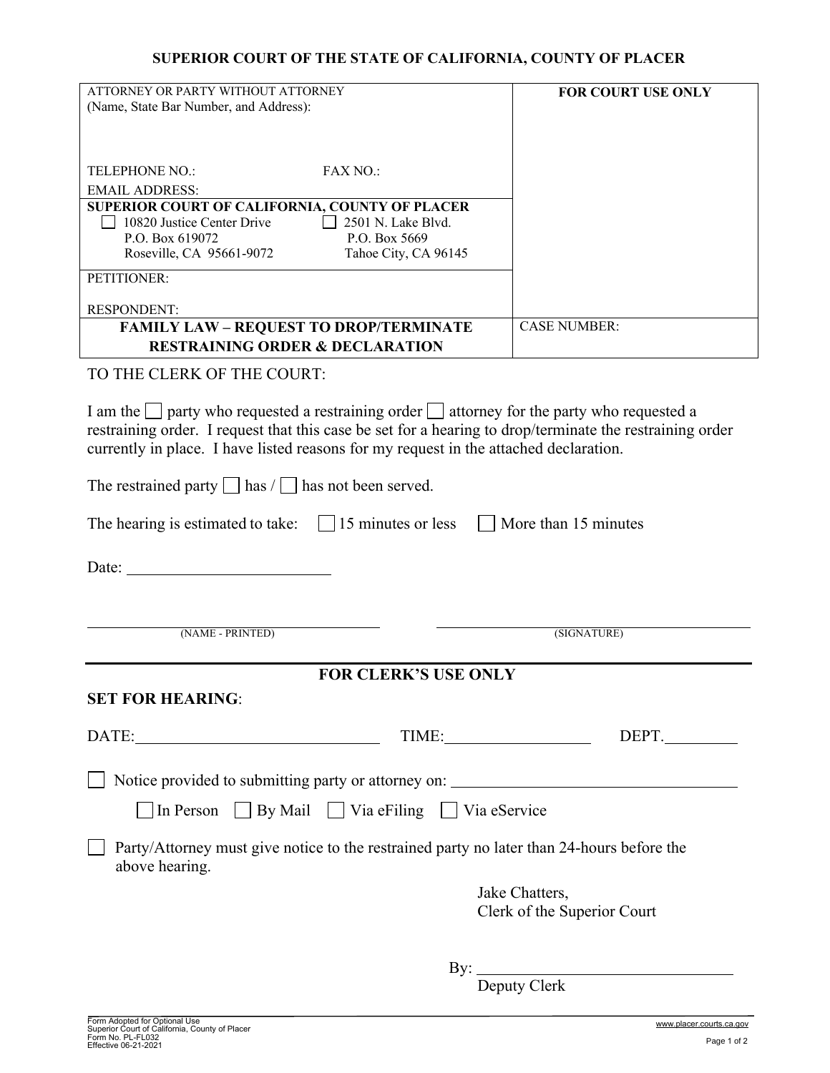## **SUPERIOR COURT OF THE STATE OF CALIFORNIA, COUNTY OF PLACER**

| ATTORNEY OR PARTY WITHOUT ATTORNEY                                                                          | <b>FOR COURT USE ONLY</b>   |
|-------------------------------------------------------------------------------------------------------------|-----------------------------|
| (Name, State Bar Number, and Address):                                                                      |                             |
|                                                                                                             |                             |
|                                                                                                             |                             |
| <b>TELEPHONE NO.:</b><br><b>FAX NO.:</b>                                                                    |                             |
| <b>EMAIL ADDRESS:</b>                                                                                       |                             |
| SUPERIOR COURT OF CALIFORNIA, COUNTY OF PLACER<br>10820 Justice Center Drive<br>2501 N. Lake Blvd.          |                             |
| P.O. Box 619072<br>P.O. Box 5669                                                                            |                             |
| Roseville, CA 95661-9072<br>Tahoe City, CA 96145                                                            |                             |
| PETITIONER:                                                                                                 |                             |
| RESPONDENT:                                                                                                 |                             |
| <b>FAMILY LAW - REQUEST TO DROP/TERMINATE</b>                                                               | <b>CASE NUMBER:</b>         |
| <b>RESTRAINING ORDER &amp; DECLARATION</b>                                                                  |                             |
| TO THE CLERK OF THE COURT:                                                                                  |                             |
|                                                                                                             |                             |
| I am the     party who requested a restraining order     attorney for the party who requested a             |                             |
| restraining order. I request that this case be set for a hearing to drop/terminate the restraining order    |                             |
| currently in place. I have listed reasons for my request in the attached declaration.                       |                             |
| The restrained party $\Box$ has $\Box$ has not been served.                                                 |                             |
| The hearing is estimated to take: $\Box$ 15 minutes or less                                                 | More than 15 minutes        |
|                                                                                                             |                             |
| Date:                                                                                                       |                             |
|                                                                                                             |                             |
| (NAME - PRINTED)                                                                                            | (SIGNATURE)                 |
|                                                                                                             |                             |
| <b>FOR CLERK'S USE ONLY</b>                                                                                 |                             |
| <b>SET FOR HEARING:</b>                                                                                     |                             |
|                                                                                                             |                             |
| $\text{DATE:}\underbrace{\hspace{2.5cm}}$                                                                   | TIME: DEPT.                 |
| Notice provided to submitting party or attorney on: ____________________________                            |                             |
| □ In Person □ By Mail □ Via eFiling □ Via eService                                                          |                             |
| Party/Attorney must give notice to the restrained party no later than 24-hours before the<br>above hearing. |                             |
|                                                                                                             | Jake Chatters,              |
|                                                                                                             | Clerk of the Superior Court |
|                                                                                                             |                             |
|                                                                                                             | By: Deputy Clerk            |
|                                                                                                             |                             |